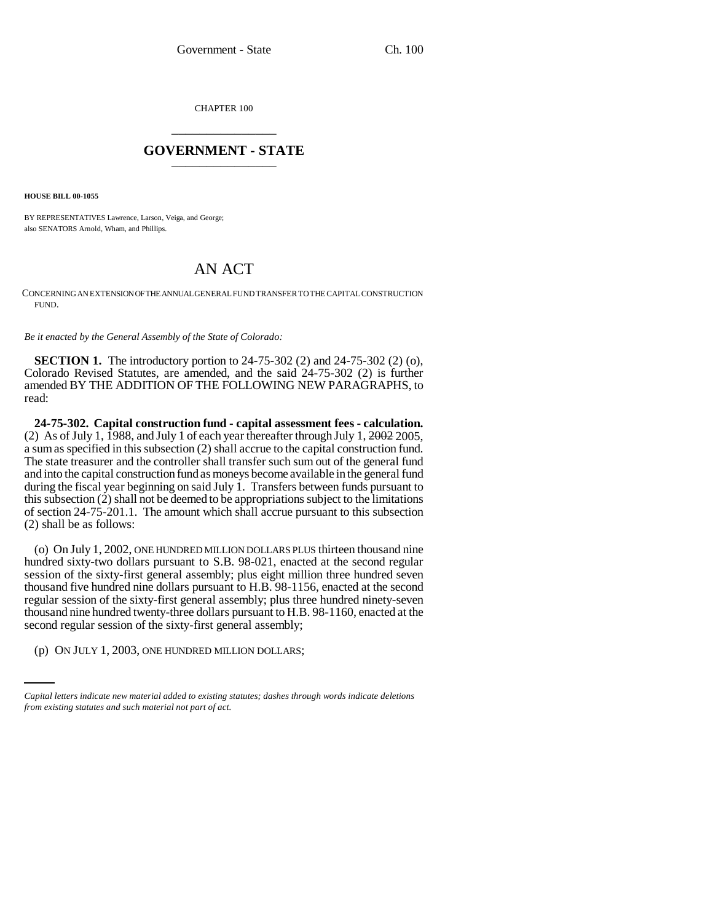CHAPTER 100 \_\_\_\_\_\_\_\_\_\_\_\_\_\_\_

## **GOVERNMENT - STATE** \_\_\_\_\_\_\_\_\_\_\_\_\_\_\_

**HOUSE BILL 00-1055** 

BY REPRESENTATIVES Lawrence, Larson, Veiga, and George; also SENATORS Arnold, Wham, and Phillips.

## AN ACT

CONCERNING AN EXTENSION OF THE ANNUAL GENERAL FUND TRANSFER TO THE CAPITAL CONSTRUCTION FUND.

*Be it enacted by the General Assembly of the State of Colorado:*

**SECTION 1.** The introductory portion to 24-75-302 (2) and 24-75-302 (2) (o), Colorado Revised Statutes, are amended, and the said 24-75-302 (2) is further amended BY THE ADDITION OF THE FOLLOWING NEW PARAGRAPHS, to read:

**24-75-302. Capital construction fund - capital assessment fees - calculation.** (2) As of July 1, 1988, and July 1 of each year thereafter through July 1,  $2002$  2005, a sum as specified in this subsection (2) shall accrue to the capital construction fund. The state treasurer and the controller shall transfer such sum out of the general fund and into the capital construction fund as moneys become available in the general fund during the fiscal year beginning on said July 1. Transfers between funds pursuant to this subsection (2) shall not be deemed to be appropriations subject to the limitations of section 24-75-201.1. The amount which shall accrue pursuant to this subsection (2) shall be as follows:

second regular session of the sixty-first general assembly; (o) On July 1, 2002, ONE HUNDRED MILLION DOLLARS PLUS thirteen thousand nine hundred sixty-two dollars pursuant to S.B. 98-021, enacted at the second regular session of the sixty-first general assembly; plus eight million three hundred seven thousand five hundred nine dollars pursuant to H.B. 98-1156, enacted at the second regular session of the sixty-first general assembly; plus three hundred ninety-seven thousand nine hundred twenty-three dollars pursuant to H.B. 98-1160, enacted at the

(p) ON JULY 1, 2003, ONE HUNDRED MILLION DOLLARS;

*Capital letters indicate new material added to existing statutes; dashes through words indicate deletions from existing statutes and such material not part of act.*